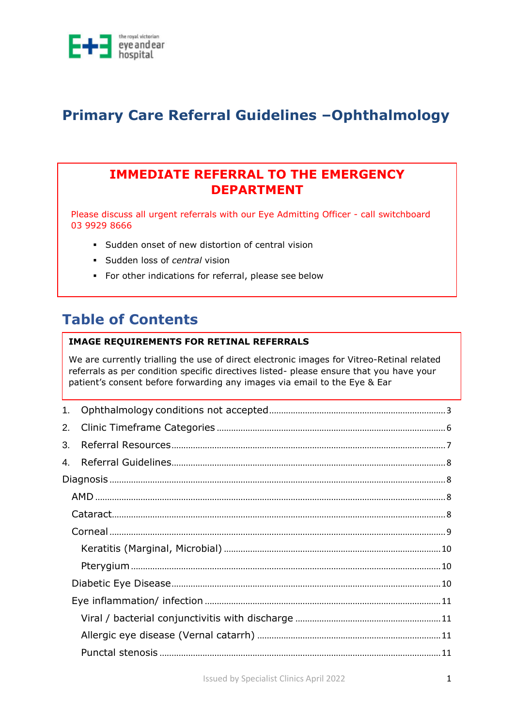

## **Primary Care Referral Guidelines –Ophthalmology**

### **IMMEDIATE REFERRAL TO THE EMERGENCY DEPARTMENT**

Please discuss all urgent referrals with our Eye Admitting Officer - call switchboard 03 9929 8666

- Sudden onset of new distortion of central vision
- Sudden loss of *central* vision
- For other indications for referral, please see below

### **Table of Contents**

#### **IMAGE REQUIREMENTS FOR RETINAL REFERRALS**

We are currently trialling the use of direct electronic images for Vitreo-Retinal related referrals as per condition specific directives listed- please ensure that you have your patient's consent before forwarding any images via email to the Eye & Ear

| 1. |  |
|----|--|
| 2. |  |
| 3. |  |
| 4. |  |
|    |  |
|    |  |
|    |  |
|    |  |
|    |  |
|    |  |
|    |  |
|    |  |
|    |  |
|    |  |
|    |  |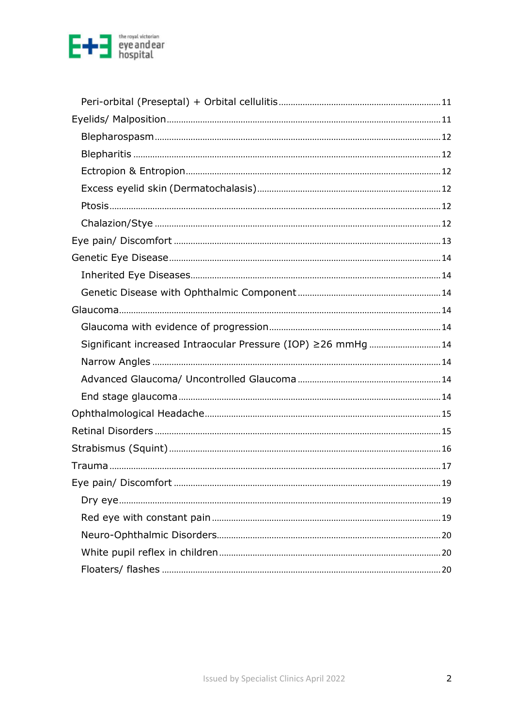

| Significant increased Intraocular Pressure (IOP) ≥26 mmHg 14 |
|--------------------------------------------------------------|
|                                                              |
|                                                              |
|                                                              |
|                                                              |
|                                                              |
|                                                              |
|                                                              |
|                                                              |
|                                                              |
|                                                              |
|                                                              |
|                                                              |
|                                                              |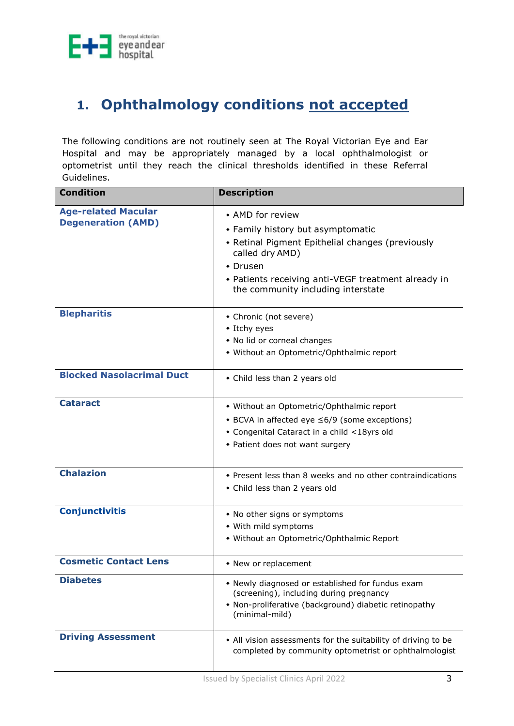

## <span id="page-2-0"></span>**1. Ophthalmology conditions not accepted**

The following conditions are not routinely seen at The Royal Victorian Eye and Ear Hospital and may be appropriately managed by a local ophthalmologist or optometrist until they reach the clinical thresholds identified in these Referral Guidelines.

| <b>Condition</b>                                        | <b>Description</b>                                                                                                                                                                                                                          |
|---------------------------------------------------------|---------------------------------------------------------------------------------------------------------------------------------------------------------------------------------------------------------------------------------------------|
| <b>Age-related Macular</b><br><b>Degeneration (AMD)</b> | • AMD for review<br>• Family history but asymptomatic<br>• Retinal Pigment Epithelial changes (previously<br>called dry AMD)<br>$\cdot$ Drusen<br>• Patients receiving anti-VEGF treatment already in<br>the community including interstate |
| <b>Blepharitis</b>                                      | • Chronic (not severe)<br>• Itchy eyes<br>• No lid or corneal changes<br>• Without an Optometric/Ophthalmic report                                                                                                                          |
| <b>Blocked Nasolacrimal Duct</b>                        | • Child less than 2 years old                                                                                                                                                                                                               |
| <b>Cataract</b>                                         | • Without an Optometric/Ophthalmic report<br>◆ BCVA in affected eye ≤6/9 (some exceptions)<br>• Congenital Cataract in a child <18yrs old<br>• Patient does not want surgery                                                                |
| <b>Chalazion</b>                                        | • Present less than 8 weeks and no other contraindications<br>• Child less than 2 years old                                                                                                                                                 |
| <b>Conjunctivitis</b>                                   | • No other signs or symptoms<br>• With mild symptoms<br>• Without an Optometric/Ophthalmic Report                                                                                                                                           |
| <b>Cosmetic Contact Lens</b>                            | • New or replacement                                                                                                                                                                                                                        |
| <b>Diabetes</b>                                         | • Newly diagnosed or established for fundus exam<br>(screening), including during pregnancy<br>• Non-proliferative (background) diabetic retinopathy<br>(minimal-mild)                                                                      |
| <b>Driving Assessment</b>                               | • All vision assessments for the suitability of driving to be<br>completed by community optometrist or ophthalmologist                                                                                                                      |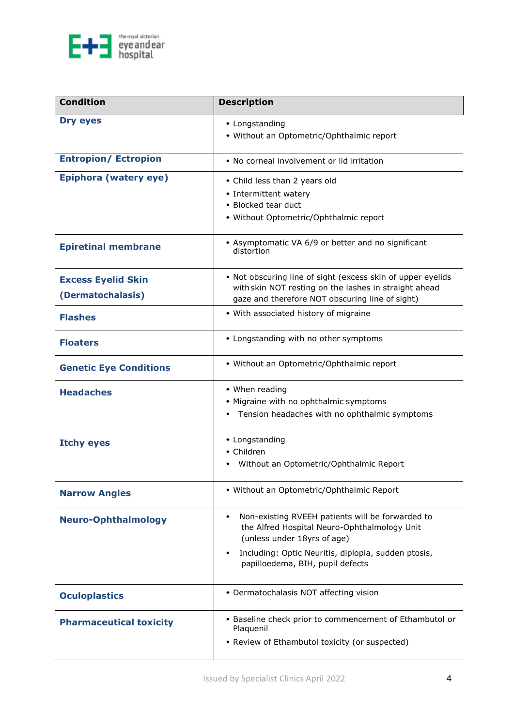

| <b>Condition</b>                               | <b>Description</b>                                                                                                                                                                                                                   |  |  |
|------------------------------------------------|--------------------------------------------------------------------------------------------------------------------------------------------------------------------------------------------------------------------------------------|--|--|
| Dry eyes                                       | • Longstanding<br>• Without an Optometric/Ophthalmic report                                                                                                                                                                          |  |  |
| <b>Entropion/ Ectropion</b>                    | • No corneal involvement or lid irritation                                                                                                                                                                                           |  |  |
| Epiphora (watery eye)                          | • Child less than 2 years old<br>• Intermittent watery<br>• Blocked tear duct<br>• Without Optometric/Ophthalmic report                                                                                                              |  |  |
| <b>Epiretinal membrane</b>                     | * Asymptomatic VA 6/9 or better and no significant<br>distortion                                                                                                                                                                     |  |  |
| <b>Excess Eyelid Skin</b><br>(Dermatochalasis) | • Not obscuring line of sight (excess skin of upper eyelids<br>with skin NOT resting on the lashes in straight ahead<br>gaze and therefore NOT obscuring line of sight)                                                              |  |  |
| <b>Flashes</b>                                 | • With associated history of migraine                                                                                                                                                                                                |  |  |
| <b>Floaters</b>                                | • Longstanding with no other symptoms                                                                                                                                                                                                |  |  |
| <b>Genetic Eye Conditions</b>                  | • Without an Optometric/Ophthalmic report                                                                                                                                                                                            |  |  |
| <b>Headaches</b>                               | • When reading<br>• Migraine with no ophthalmic symptoms<br>Tension headaches with no ophthalmic symptoms<br>٠                                                                                                                       |  |  |
| <b>Itchy eyes</b>                              | • Longstanding<br>$\bullet$ Children<br>Without an Optometric/Ophthalmic Report                                                                                                                                                      |  |  |
| <b>Narrow Angles</b>                           | • Without an Optometric/Ophthalmic Report                                                                                                                                                                                            |  |  |
| <b>Neuro-Ophthalmology</b>                     | Non-existing RVEEH patients will be forwarded to<br>٠<br>the Alfred Hospital Neuro-Ophthalmology Unit<br>(unless under 18yrs of age)<br>Including: Optic Neuritis, diplopia, sudden ptosis,<br>٠<br>papilloedema, BIH, pupil defects |  |  |
| <b>Oculoplastics</b>                           | • Dermatochalasis NOT affecting vision                                                                                                                                                                                               |  |  |
| <b>Pharmaceutical toxicity</b>                 | • Baseline check prior to commencement of Ethambutol or<br>Plaquenil<br>• Review of Ethambutol toxicity (or suspected)                                                                                                               |  |  |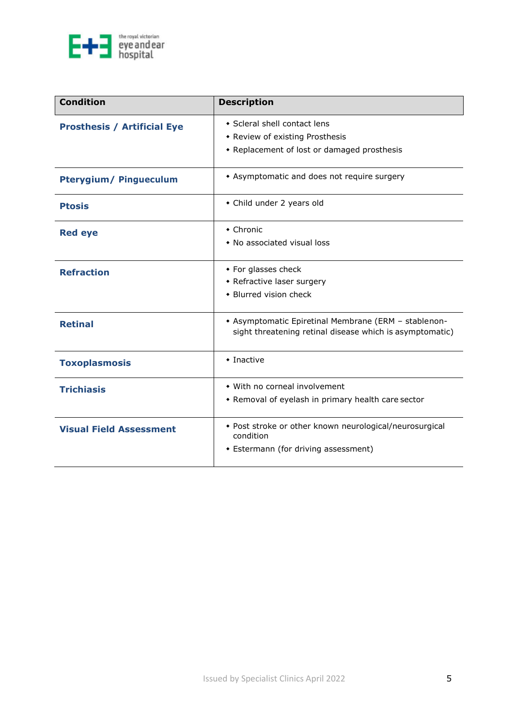

| <b>Condition</b>                   | <b>Description</b>                                                                                               |
|------------------------------------|------------------------------------------------------------------------------------------------------------------|
| <b>Prosthesis / Artificial Eye</b> | • Scleral shell contact lens                                                                                     |
|                                    | • Review of existing Prosthesis                                                                                  |
|                                    | • Replacement of lost or damaged prosthesis                                                                      |
| <b>Pterygium/ Pingueculum</b>      | • Asymptomatic and does not require surgery                                                                      |
| <b>Ptosis</b>                      | • Child under 2 years old                                                                                        |
| <b>Red eye</b>                     | $\bullet$ Chronic                                                                                                |
|                                    | • No associated visual loss                                                                                      |
| <b>Refraction</b>                  | • For glasses check                                                                                              |
|                                    | • Refractive laser surgery                                                                                       |
|                                    | • Blurred vision check                                                                                           |
| <b>Retinal</b>                     | • Asymptomatic Epiretinal Membrane (ERM - stablenon-<br>sight threatening retinal disease which is asymptomatic) |
| <b>Toxoplasmosis</b>               | $\bullet$ Inactive                                                                                               |
| <b>Trichiasis</b>                  | • With no corneal involvement                                                                                    |
|                                    | * Removal of eyelash in primary health care sector                                                               |
| <b>Visual Field Assessment</b>     | • Post stroke or other known neurological/neurosurgical<br>condition                                             |
|                                    | • Estermann (for driving assessment)                                                                             |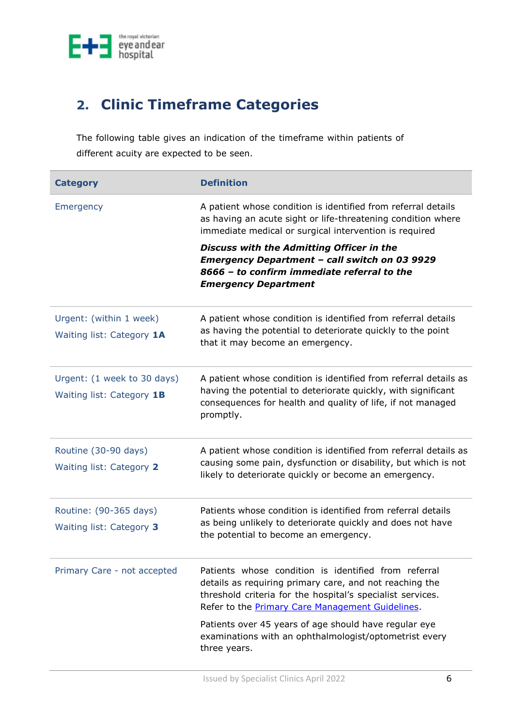

## <span id="page-5-0"></span>**2. Clinic Timeframe Categories**

The following table gives an indication of the timeframe within patients of different acuity are expected to be seen.

| <b>Category</b>                                          | <b>Definition</b>                                                                                                                                                                                                                 |  |
|----------------------------------------------------------|-----------------------------------------------------------------------------------------------------------------------------------------------------------------------------------------------------------------------------------|--|
| Emergency                                                | A patient whose condition is identified from referral details<br>as having an acute sight or life-threatening condition where<br>immediate medical or surgical intervention is required                                           |  |
|                                                          | Discuss with the Admitting Officer in the<br><b>Emergency Department - call switch on 03 9929</b><br>8666 - to confirm immediate referral to the<br><b>Emergency Department</b>                                                   |  |
| Urgent: (within 1 week)<br>Waiting list: Category 1A     | A patient whose condition is identified from referral details<br>as having the potential to deteriorate quickly to the point<br>that it may become an emergency.                                                                  |  |
| Urgent: (1 week to 30 days)<br>Waiting list: Category 1B | A patient whose condition is identified from referral details as<br>having the potential to deteriorate quickly, with significant<br>consequences for health and quality of life, if not managed<br>promptly.                     |  |
| Routine (30-90 days)<br>Waiting list: Category 2         | A patient whose condition is identified from referral details as<br>causing some pain, dysfunction or disability, but which is not<br>likely to deteriorate quickly or become an emergency.                                       |  |
| Routine: (90-365 days)<br>Waiting list: Category 3       | Patients whose condition is identified from referral details<br>as being unlikely to deteriorate quickly and does not have<br>the potential to become an emergency.                                                               |  |
| Primary Care - not accepted                              | Patients whose condition is identified from referral<br>details as requiring primary care, and not reaching the<br>threshold criteria for the hospital's specialist services.<br>Refer to the Primary Care Management Guidelines. |  |
|                                                          | Patients over 45 years of age should have regular eye<br>examinations with an ophthalmologist/optometrist every<br>three years.                                                                                                   |  |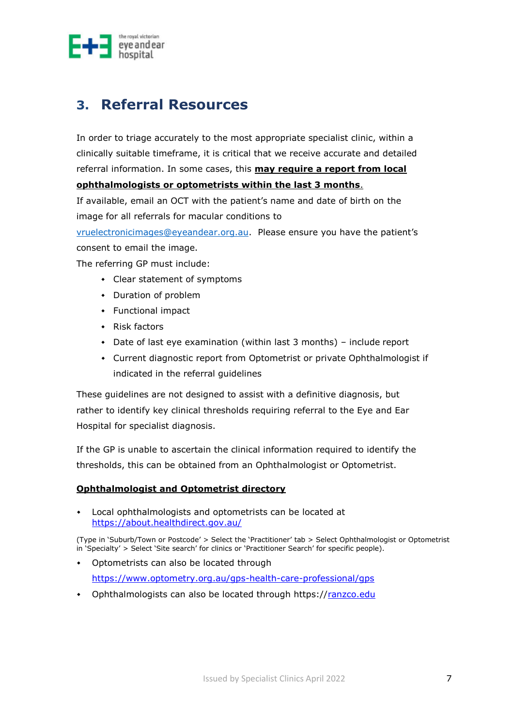

### <span id="page-6-0"></span>**3. Referral Resources**

In order to triage accurately to the most appropriate specialist clinic, within a clinically suitable timeframe, it is critical that we receive accurate and detailed referral information. In some cases, this **may require a report from local ophthalmologists or optometrists within the last 3 months**.

If available, email an OCT with the patient's name and date of birth on the image for all referrals for macular conditions to

[vruelectronicimages@eyeandear.org.au](mailto:vruelectronicimages@eyeandear.org.au). Please ensure you have the patient's consent to email the image.

The referring GP must include:

- Clear statement of symptoms
- Duration of problem
- Functional impact
- $\leftarrow$  Risk factors
- Date of last eye examination (within last 3 months) include report
- Current diagnostic report from Optometrist or private Ophthalmologist if indicated in the referral guidelines

These guidelines are not designed to assist with a definitive diagnosis, but rather to identify key clinical thresholds requiring referral to the Eye and Ear Hospital for specialist diagnosis.

If the GP is unable to ascertain the clinical information required to identify the thresholds, this can be obtained from an Ophthalmologist or Optometrist.

#### **Ophthalmologist and Optometrist directory**

 Local ophthalmologists and optometrists can be located at <https://about.healthdirect.gov.au/>

(Type in 'Suburb/Town or Postcode' > Select the 'Practitioner' tab > Select Ophthalmologist or Optometrist in 'Specialty' > Select 'Site search' for clinics or 'Practiti[oner Search' for specific people\).](https://www.optometry.org.au/gps-health-care-professional/gps)

- Optometrists can also be located through <https://www.optometry.org.au/gps-health-care-professional/gps>
- Ophthalmologists can also be located through https:/[/ranzco.edu](https://ranzco.edu/)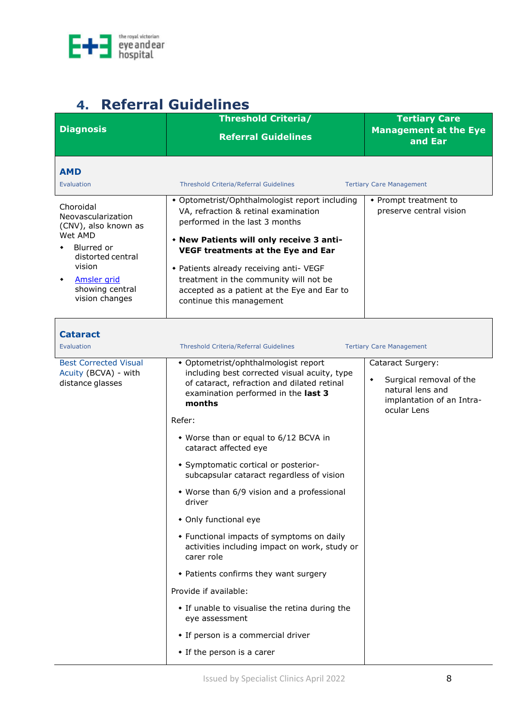

# <span id="page-7-0"></span>**4. Referral Guidelines**

<span id="page-7-3"></span><span id="page-7-2"></span><span id="page-7-1"></span>

|                                                                                                                                                                            | <b>Threshold Criteria/</b>                                                                                                                                                                                                                                                                                                                                                 | <b>Tertiary Care</b>                                                                                                            |
|----------------------------------------------------------------------------------------------------------------------------------------------------------------------------|----------------------------------------------------------------------------------------------------------------------------------------------------------------------------------------------------------------------------------------------------------------------------------------------------------------------------------------------------------------------------|---------------------------------------------------------------------------------------------------------------------------------|
| <b>Diagnosis</b>                                                                                                                                                           | <b>Referral Guidelines</b>                                                                                                                                                                                                                                                                                                                                                 | <b>Management at the Eye</b><br>and Ear                                                                                         |
| <b>AMD</b><br>Evaluation                                                                                                                                                   | <b>Threshold Criteria/Referral Guidelines</b>                                                                                                                                                                                                                                                                                                                              | <b>Tertiary Care Management</b>                                                                                                 |
| Choroidal<br>Neovascularization<br>(CNV), also known as<br>Wet AMD<br>Blurred or<br>distorted central<br>vision<br><b>Amsler</b> grid<br>showing central<br>vision changes | • Optometrist/Ophthalmologist report including<br>VA, refraction & retinal examination<br>performed in the last 3 months<br>• New Patients will only receive 3 anti-<br>VEGF treatments at the Eye and Ear<br>• Patients already receiving anti- VEGF<br>treatment in the community will not be<br>accepted as a patient at the Eye and Ear to<br>continue this management | • Prompt treatment to<br>preserve central vision                                                                                |
| <b>Cataract</b><br>Evaluation                                                                                                                                              | <b>Threshold Criteria/Referral Guidelines</b>                                                                                                                                                                                                                                                                                                                              | <b>Tertiary Care Management</b>                                                                                                 |
| <b>Best Corrected Visual</b><br>Acuity (BCVA) - with<br>distance glasses                                                                                                   | • Optometrist/ophthalmologist report<br>including best corrected visual acuity, type<br>of cataract, refraction and dilated retinal<br>examination performed in the last 3<br>months                                                                                                                                                                                       | Cataract Surgery:<br>Surgical removal of the<br>$\blacklozenge$<br>natural lens and<br>implantation of an Intra-<br>ocular Lens |
|                                                                                                                                                                            | Refer:                                                                                                                                                                                                                                                                                                                                                                     |                                                                                                                                 |
|                                                                                                                                                                            | • Worse than or equal to 6/12 BCVA in<br>cataract affected eye                                                                                                                                                                                                                                                                                                             |                                                                                                                                 |
|                                                                                                                                                                            | • Symptomatic cortical or posterior-<br>subcapsular cataract regardless of vision                                                                                                                                                                                                                                                                                          |                                                                                                                                 |
|                                                                                                                                                                            | • Worse than 6/9 vision and a professional<br>driver                                                                                                                                                                                                                                                                                                                       |                                                                                                                                 |
|                                                                                                                                                                            | • Only functional eye                                                                                                                                                                                                                                                                                                                                                      |                                                                                                                                 |
|                                                                                                                                                                            | • Functional impacts of symptoms on daily<br>activities including impact on work, study or<br>carer role                                                                                                                                                                                                                                                                   |                                                                                                                                 |
|                                                                                                                                                                            | • Patients confirms they want surgery                                                                                                                                                                                                                                                                                                                                      |                                                                                                                                 |
|                                                                                                                                                                            | Provide if available:                                                                                                                                                                                                                                                                                                                                                      |                                                                                                                                 |
|                                                                                                                                                                            | • If unable to visualise the retina during the<br>eye assessment                                                                                                                                                                                                                                                                                                           |                                                                                                                                 |
|                                                                                                                                                                            | • If person is a commercial driver                                                                                                                                                                                                                                                                                                                                         |                                                                                                                                 |
|                                                                                                                                                                            | • If the person is a carer                                                                                                                                                                                                                                                                                                                                                 |                                                                                                                                 |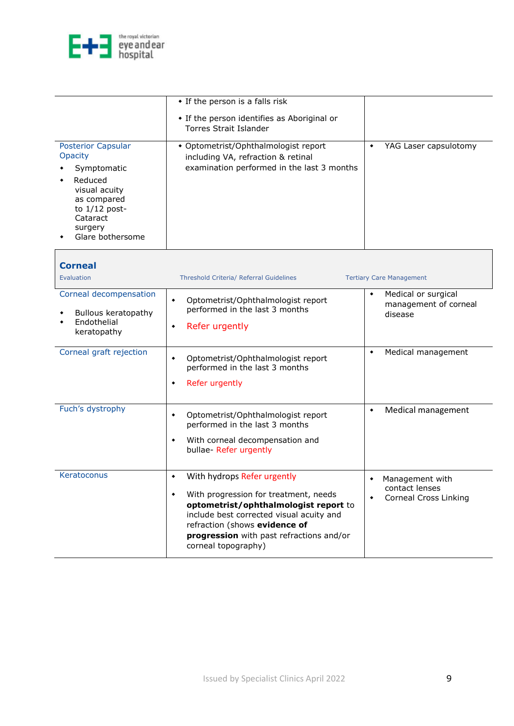

<span id="page-8-0"></span>

| <b>Posterior Capsular</b><br>Opacity<br>Symptomatic<br>Reduced<br>visual acuity<br>as compared<br>to $1/12$ post-<br>Cataract<br>surgery | • If the person is a falls risk<br>• If the person identifies as Aboriginal or<br><b>Torres Strait Islander</b><br>• Optometrist/Ophthalmologist report<br>including VA, refraction & retinal<br>examination performed in the last 3 months                                           | YAG Laser capsulotomy<br>$\blacklozenge$                                       |
|------------------------------------------------------------------------------------------------------------------------------------------|---------------------------------------------------------------------------------------------------------------------------------------------------------------------------------------------------------------------------------------------------------------------------------------|--------------------------------------------------------------------------------|
| Glare bothersome                                                                                                                         |                                                                                                                                                                                                                                                                                       |                                                                                |
| <b>Corneal</b><br><b>Evaluation</b>                                                                                                      | Threshold Criteria/ Referral Guidelines                                                                                                                                                                                                                                               | <b>Tertiary Care Management</b>                                                |
| Corneal decompensation<br>Bullous keratopathy<br>Endothelial<br>keratopathy                                                              | Optometrist/Ophthalmologist report<br>$\bullet$<br>performed in the last 3 months<br>Refer urgently<br>٠                                                                                                                                                                              | Medical or surgical<br>٠<br>management of corneal<br>disease                   |
| Corneal graft rejection                                                                                                                  | Optometrist/Ophthalmologist report<br>٠<br>performed in the last 3 months<br>Refer urgently<br>٠                                                                                                                                                                                      | Medical management<br>٠                                                        |
| Fuch's dystrophy                                                                                                                         | Optometrist/Ophthalmologist report<br>۰<br>performed in the last 3 months<br>With corneal decompensation and<br>٠<br>bullae- Refer urgently                                                                                                                                           | Medical management<br>۰                                                        |
| Keratoconus                                                                                                                              | With hydrops Refer urgently<br>$\blacklozenge$<br>With progression for treatment, needs<br>٠<br>optometrist/ophthalmologist report to<br>include best corrected visual acuity and<br>refraction (shows evidence of<br>progression with past refractions and/or<br>corneal topography) | Management with<br>contact lenses<br><b>Corneal Cross Linking</b><br>$\bullet$ |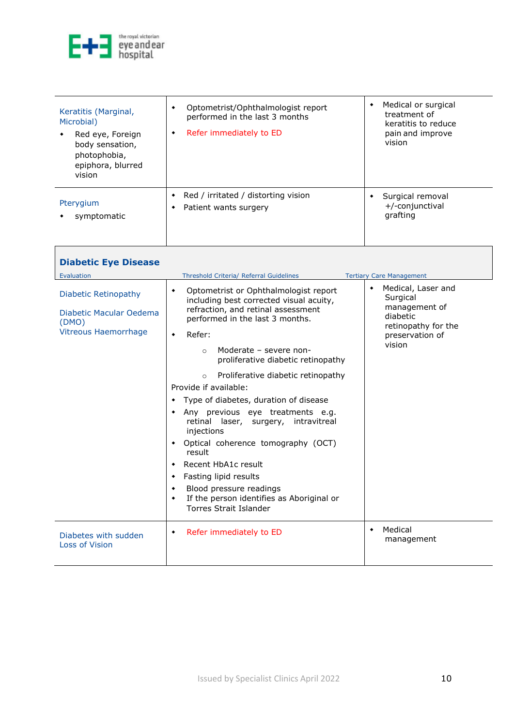

<span id="page-9-0"></span>

| Keratitis (Marginal,<br>Microbial)<br>Red eye, Foreign<br>body sensation,<br>photophobia,<br>epiphora, blurred<br>vision | Optometrist/Ophthalmologist report<br>performed in the last 3 months<br>Refer immediately to ED<br>٠ | Medical or surgical<br>٠<br>treatment of<br>keratitis to reduce<br>pain and improve<br>vision |
|--------------------------------------------------------------------------------------------------------------------------|------------------------------------------------------------------------------------------------------|-----------------------------------------------------------------------------------------------|
| Pterygium<br>symptomatic                                                                                                 | Red / irritated / distorting vision<br>Patient wants surgery                                         | Surgical removal<br>+/-conjunctival<br>grafting                                               |

<span id="page-9-2"></span><span id="page-9-1"></span>

| <b>Diabetic Eye Disease</b>                                                                    |                                                                                                                                                                                                                                                                                                                                                                                                                                                                                                                                                                                                                                                                                                                           |                                                                                                                      |
|------------------------------------------------------------------------------------------------|---------------------------------------------------------------------------------------------------------------------------------------------------------------------------------------------------------------------------------------------------------------------------------------------------------------------------------------------------------------------------------------------------------------------------------------------------------------------------------------------------------------------------------------------------------------------------------------------------------------------------------------------------------------------------------------------------------------------------|----------------------------------------------------------------------------------------------------------------------|
| Evaluation                                                                                     | Threshold Criteria/ Referral Guidelines                                                                                                                                                                                                                                                                                                                                                                                                                                                                                                                                                                                                                                                                                   | <b>Tertiary Care Management</b>                                                                                      |
| <b>Diabetic Retinopathy</b><br>Diabetic Macular Oedema<br>(DMO)<br><b>Vitreous Haemorrhage</b> | Optometrist or Ophthalmologist report<br>۰<br>including best corrected visual acuity,<br>refraction, and retinal assessment<br>performed in the last 3 months.<br>Refer:<br>$\bullet$<br>Moderate - severe non-<br>$\circ$<br>proliferative diabetic retinopathy<br>Proliferative diabetic retinopathy<br>$\circ$<br>Provide if available:<br>Type of diabetes, duration of disease<br>٠<br>Any previous eye treatments e.g.<br>٠<br>retinal laser, surgery, intravitreal<br>injections<br>Optical coherence tomography (OCT)<br>٠<br>result<br>Recent HbA1c result<br>٠<br>Fasting lipid results<br>٠<br>Blood pressure readings<br>٠<br>If the person identifies as Aboriginal or<br>٠<br><b>Torres Strait Islander</b> | Medical, Laser and<br>۰<br>Surgical<br>management of<br>diabetic<br>retinopathy for the<br>preservation of<br>vision |
| Diabetes with sudden<br>Loss of Vision                                                         | Refer immediately to ED<br>٠                                                                                                                                                                                                                                                                                                                                                                                                                                                                                                                                                                                                                                                                                              | Medical<br>$\bullet$<br>management                                                                                   |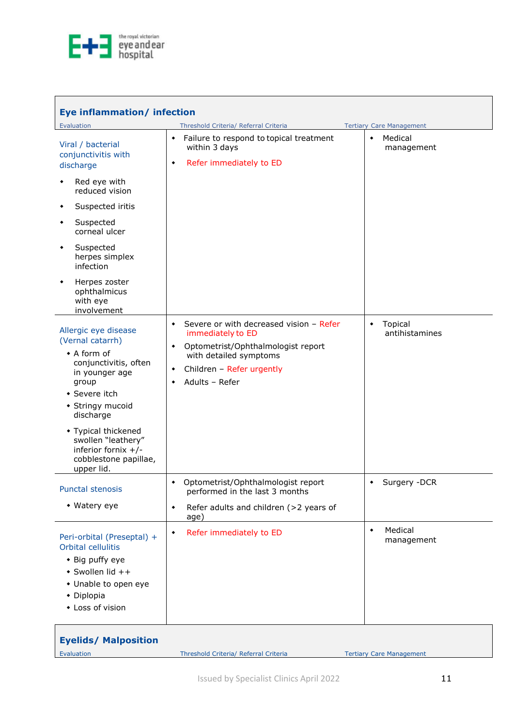

<span id="page-10-2"></span><span id="page-10-1"></span><span id="page-10-0"></span>

| Eye inflammation/ infection                                                                                                                                                                                                                                                |                                                                                                                                                                                                               |                                              |  |
|----------------------------------------------------------------------------------------------------------------------------------------------------------------------------------------------------------------------------------------------------------------------------|---------------------------------------------------------------------------------------------------------------------------------------------------------------------------------------------------------------|----------------------------------------------|--|
| Evaluation                                                                                                                                                                                                                                                                 | Threshold Criteria/ Referral Criteria                                                                                                                                                                         | <b>Tertiary Care Management</b>              |  |
| Viral / bacterial<br>conjunctivitis with<br>discharge                                                                                                                                                                                                                      | Failure to respond to topical treatment<br>٠<br>within 3 days<br>Refer immediately to ED<br>۰                                                                                                                 | Medical<br>$\blacklozenge$<br>management     |  |
| Red eye with<br>reduced vision                                                                                                                                                                                                                                             |                                                                                                                                                                                                               |                                              |  |
| Suspected iritis                                                                                                                                                                                                                                                           |                                                                                                                                                                                                               |                                              |  |
| Suspected<br>٠<br>corneal ulcer                                                                                                                                                                                                                                            |                                                                                                                                                                                                               |                                              |  |
| Suspected<br>herpes simplex<br>infection                                                                                                                                                                                                                                   |                                                                                                                                                                                                               |                                              |  |
| Herpes zoster<br>ophthalmicus<br>with eye<br>involvement                                                                                                                                                                                                                   |                                                                                                                                                                                                               |                                              |  |
| Allergic eye disease<br>(Vernal catarrh)<br>• A form of<br>conjunctivitis, often<br>in younger age<br>group<br>• Severe itch<br>• Stringy mucoid<br>discharge<br>• Typical thickened<br>swollen "leathery"<br>inferior fornix $+/-$<br>cobblestone papillae,<br>upper lid. | Severe or with decreased vision - Refer<br>٠<br>immediately to ED<br>Optometrist/Ophthalmologist report<br>٠<br>with detailed symptoms<br>Children - Refer urgently<br>$\blacklozenge$<br>Adults - Refer<br>۰ | Topical<br>$\blacklozenge$<br>antihistamines |  |
| <b>Punctal stenosis</b>                                                                                                                                                                                                                                                    | • Optometrist/Ophthalmologist report<br>performed in the last 3 months                                                                                                                                        | Surgery -DCR<br>$\bullet$                    |  |
| • Watery eye                                                                                                                                                                                                                                                               | Refer adults and children (>2 years of<br>$\blacklozenge$<br>age)                                                                                                                                             |                                              |  |
| Peri-orbital (Preseptal) +<br>Orbital cellulitis<br>• Big puffy eye<br>• Swollen lid ++<br>• Unable to open eye<br>• Diplopia<br>• Loss of vision                                                                                                                          | Refer immediately to ED<br>$\blacklozenge$                                                                                                                                                                    | Medical<br>۰<br>management                   |  |

<span id="page-10-5"></span><span id="page-10-4"></span><span id="page-10-3"></span>

| <b>Eyelids/ Malposition</b> |                                       |                                 |
|-----------------------------|---------------------------------------|---------------------------------|
| Evaluation                  | Threshold Criteria/ Referral Criteria | <b>Tertiary Care Management</b> |
|                             |                                       |                                 |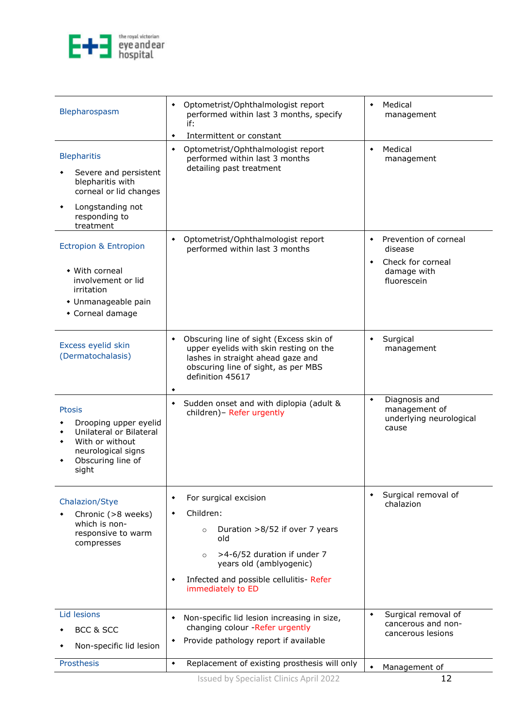

<span id="page-11-5"></span><span id="page-11-4"></span><span id="page-11-3"></span><span id="page-11-2"></span><span id="page-11-1"></span><span id="page-11-0"></span>

| Blepharospasm                                                                                                                               | Optometrist/Ophthalmologist report<br>٠<br>performed within last 3 months, specify<br>if:<br>Intermittent or constant<br>۰                                                                                                                 | Medical<br>$\bullet$<br>management                                                                                        |
|---------------------------------------------------------------------------------------------------------------------------------------------|--------------------------------------------------------------------------------------------------------------------------------------------------------------------------------------------------------------------------------------------|---------------------------------------------------------------------------------------------------------------------------|
| <b>Blepharitis</b><br>Severe and persistent<br>blepharitis with<br>corneal or lid changes<br>Longstanding not<br>responding to<br>treatment | Optometrist/Ophthalmologist report<br>٠<br>performed within last 3 months<br>detailing past treatment                                                                                                                                      | Medical<br>$\blacklozenge$<br>management                                                                                  |
| <b>Ectropion &amp; Entropion</b><br>• With corneal<br>involvement or lid<br>irritation<br>• Unmanageable pain<br>• Corneal damage           | Optometrist/Ophthalmologist report<br>performed within last 3 months                                                                                                                                                                       | Prevention of corneal<br>$\blacklozenge$<br>disease<br>Check for corneal<br>$\blacklozenge$<br>damage with<br>fluorescein |
| Excess eyelid skin<br>(Dermatochalasis)                                                                                                     | Obscuring line of sight (Excess skin of<br>٠<br>upper eyelids with skin resting on the<br>lashes in straight ahead gaze and<br>obscuring line of sight, as per MBS<br>definition 45617<br>٠                                                | Surgical<br>$\blacklozenge$<br>management                                                                                 |
| Ptosis<br>Drooping upper eyelid<br>Unilateral or Bilateral<br>With or without<br>neurological signs<br>Obscuring line of<br>sight           | Sudden onset and with diplopia (adult &<br>٠<br>children)- Refer urgently                                                                                                                                                                  | Diagnosis and<br>$\blacklozenge$<br>management of<br>underlying neurological<br>cause                                     |
| Chalazion/Stye<br>Chronic (>8 weeks)<br>which is non-<br>responsive to warm<br>compresses                                                   | For surgical excision<br>٠<br>Children:<br>٠<br>Duration >8/52 if over 7 years<br>$\circ$<br>old<br>>4-6/52 duration if under 7<br>$\circ$<br>years old (amblyogenic)<br>Infected and possible cellulitis- Refer<br>۰<br>immediately to ED | Surgical removal of<br>٠<br>chalazion                                                                                     |
| Lid lesions<br>BCC & SCC<br>Non-specific lid lesion                                                                                         | Non-specific lid lesion increasing in size,<br>$\blacklozenge$<br>changing colour -Refer urgently<br>Provide pathology report if available                                                                                                 | Surgical removal of<br>۰<br>cancerous and non-<br>cancerous lesions                                                       |
| Prosthesis                                                                                                                                  | Replacement of existing prosthesis will only<br>$\blacklozenge$                                                                                                                                                                            | Management of                                                                                                             |
|                                                                                                                                             | d by Spocialist Clinics April 2022                                                                                                                                                                                                         | 12                                                                                                                        |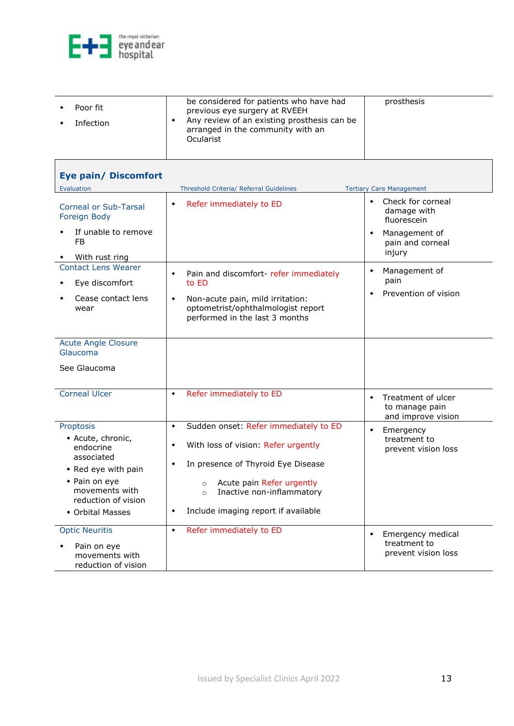

<span id="page-12-0"></span>

| <b>Eye pain/ Discomfort</b>                                                                                                                                    |                                                                                                                                                                                                                                                                                                                       |                                                                                          |
|----------------------------------------------------------------------------------------------------------------------------------------------------------------|-----------------------------------------------------------------------------------------------------------------------------------------------------------------------------------------------------------------------------------------------------------------------------------------------------------------------|------------------------------------------------------------------------------------------|
| Evaluation                                                                                                                                                     | Threshold Criteria/ Referral Guidelines                                                                                                                                                                                                                                                                               | <b>Tertiary Care Management</b>                                                          |
| <b>Corneal or Sub-Tarsal</b><br>Foreign Body<br>If unable to remove<br><b>FB</b>                                                                               | Refer immediately to ED<br>$\blacklozenge$                                                                                                                                                                                                                                                                            | Check for corneal<br>$\blacklozenge$<br>damage with<br>fluorescein<br>Management of<br>۰ |
| With rust ring                                                                                                                                                 |                                                                                                                                                                                                                                                                                                                       | pain and corneal<br>injury                                                               |
| <b>Contact Lens Wearer</b><br>Eye discomfort<br>Cease contact lens<br>wear                                                                                     | Pain and discomfort-refer immediately<br>$\blacklozenge$<br>to ED<br>Non-acute pain, mild irritation:<br>$\blacklozenge$<br>optometrist/ophthalmologist report<br>performed in the last 3 months                                                                                                                      | Management of<br>۰<br>pain<br>Prevention of vision<br>$\blacklozenge$                    |
| <b>Acute Angle Closure</b><br>Glaucoma                                                                                                                         |                                                                                                                                                                                                                                                                                                                       |                                                                                          |
| See Glaucoma                                                                                                                                                   |                                                                                                                                                                                                                                                                                                                       |                                                                                          |
| <b>Corneal Ulcer</b>                                                                                                                                           | Refer immediately to ED<br>$\blacklozenge$                                                                                                                                                                                                                                                                            | Treatment of ulcer<br>$\blacklozenge$<br>to manage pain<br>and improve vision            |
| Proptosis<br>• Acute, chronic,<br>endocrine<br>associated<br>• Red eye with pain<br>• Pain on eye<br>movements with<br>reduction of vision<br>• Orbital Masses | Sudden onset: Refer immediately to ED<br>$\blacklozenge$<br>With loss of vision: Refer urgently<br>$\blacklozenge$<br>In presence of Thyroid Eye Disease<br>$\blacklozenge$<br>Acute pain Refer urgently<br>$\circ$<br>Inactive non-inflammatory<br>$\circ$<br>Include imaging report if available<br>$\blacklozenge$ | Emergency<br>$\blacklozenge$<br>treatment to<br>prevent vision loss                      |
| <b>Optic Neuritis</b><br>Pain on eye<br>movements with<br>reduction of vision                                                                                  | Refer immediately to ED<br>$\bullet$                                                                                                                                                                                                                                                                                  | Emergency medical<br>۰<br>treatment to<br>prevent vision loss                            |

ᄀ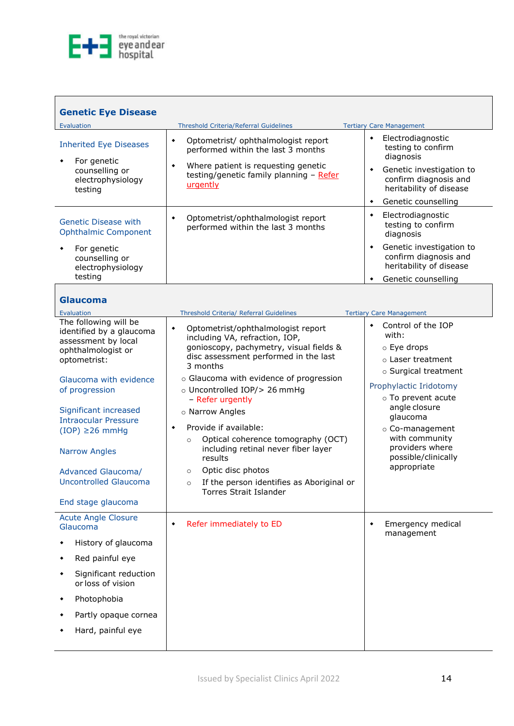

<span id="page-13-8"></span><span id="page-13-7"></span><span id="page-13-6"></span><span id="page-13-5"></span><span id="page-13-4"></span><span id="page-13-3"></span><span id="page-13-2"></span><span id="page-13-1"></span><span id="page-13-0"></span>

|                                                                                                                                                                                                                                                                                                                                                                                                                                                                                                                                                              | <b>Tertiary Care Management</b>                                                                                                                                                                                                                                         |
|--------------------------------------------------------------------------------------------------------------------------------------------------------------------------------------------------------------------------------------------------------------------------------------------------------------------------------------------------------------------------------------------------------------------------------------------------------------------------------------------------------------------------------------------------------------|-------------------------------------------------------------------------------------------------------------------------------------------------------------------------------------------------------------------------------------------------------------------------|
| Optometrist/ ophthalmologist report<br>٠<br>performed within the last 3 months                                                                                                                                                                                                                                                                                                                                                                                                                                                                               | Electrodiagnostic<br>$\blacklozenge$<br>testing to confirm<br>diagnosis                                                                                                                                                                                                 |
| testing/genetic family planning - Refer<br>urgently                                                                                                                                                                                                                                                                                                                                                                                                                                                                                                          | Genetic investigation to<br>$\blacklozenge$<br>confirm diagnosis and<br>heritability of disease                                                                                                                                                                         |
|                                                                                                                                                                                                                                                                                                                                                                                                                                                                                                                                                              | Genetic counselling<br>٠                                                                                                                                                                                                                                                |
| Optometrist/ophthalmologist report<br>۰<br>performed within the last 3 months                                                                                                                                                                                                                                                                                                                                                                                                                                                                                | Electrodiagnostic<br>٠<br>testing to confirm<br>diagnosis                                                                                                                                                                                                               |
|                                                                                                                                                                                                                                                                                                                                                                                                                                                                                                                                                              | Genetic investigation to<br>٠<br>confirm diagnosis and<br>heritability of disease                                                                                                                                                                                       |
|                                                                                                                                                                                                                                                                                                                                                                                                                                                                                                                                                              | Genetic counselling                                                                                                                                                                                                                                                     |
|                                                                                                                                                                                                                                                                                                                                                                                                                                                                                                                                                              |                                                                                                                                                                                                                                                                         |
|                                                                                                                                                                                                                                                                                                                                                                                                                                                                                                                                                              | <b>Tertiary Care Management</b>                                                                                                                                                                                                                                         |
| Optometrist/ophthalmologist report<br>$\blacklozenge$<br>including VA, refraction, IOP,<br>gonioscopy, pachymetry, visual fields &<br>disc assessment performed in the last<br>3 months<br>o Glaucoma with evidence of progression<br>o Uncontrolled IOP/> 26 mmHg<br>- Refer urgently<br>o Narrow Angles<br>Provide if available:<br>٠<br>Optical coherence tomography (OCT)<br>$\circ$<br>including retinal never fiber layer<br>results<br>Optic disc photos<br>$\circ$<br>If the person identifies as Aboriginal or<br>$\circ$<br>Torres Strait Islander | Control of the IOP<br>٠<br>with:<br>⊙ Eye drops<br>o Laser treatment<br>o Surgical treatment<br>Prophylactic Iridotomy<br>o To prevent acute<br>angle closure<br>glaucoma<br>○ Co-management<br>with community<br>providers where<br>possible/clinically<br>appropriate |
| Refer immediately to ED<br>۰                                                                                                                                                                                                                                                                                                                                                                                                                                                                                                                                 | Emergency medical<br>٠<br>management                                                                                                                                                                                                                                    |
|                                                                                                                                                                                                                                                                                                                                                                                                                                                                                                                                                              | <b>Threshold Criteria/Referral Guidelines</b><br>Where patient is requesting genetic<br>۰<br>Threshold Criteria/ Referral Guidelines                                                                                                                                    |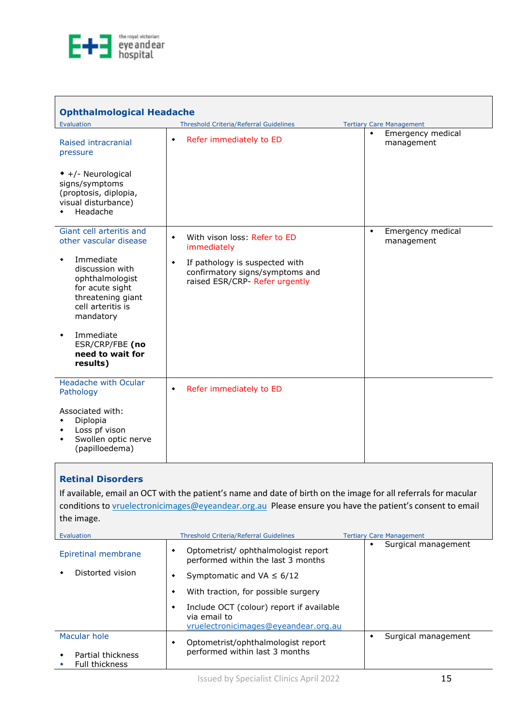

<span id="page-14-0"></span>

| <b>Ophthalmological Headache</b>                                                                                                                                                                                                                     |                                                                                                                                                                                          |                                                                                 |
|------------------------------------------------------------------------------------------------------------------------------------------------------------------------------------------------------------------------------------------------------|------------------------------------------------------------------------------------------------------------------------------------------------------------------------------------------|---------------------------------------------------------------------------------|
| Evaluation<br>Raised intracranial<br>pressure<br>$\bullet$ +/- Neurological<br>signs/symptoms<br>(proptosis, diplopia,<br>visual disturbance)<br>Headache<br>٠                                                                                       | <b>Threshold Criteria/Referral Guidelines</b><br>Refer immediately to ED<br>$\blacklozenge$                                                                                              | <b>Tertiary Care Management</b><br>Emergency medical<br>$\bullet$<br>management |
| Giant cell arteritis and<br>other vascular disease<br>Immediate<br>discussion with<br>ophthalmologist<br>for acute sight<br>threatening giant<br>cell arteritis is<br>mandatory<br>Immediate<br>٠<br>ESR/CRP/FBE (no<br>need to wait for<br>results) | With vison loss: Refer to ED<br>$\blacklozenge$<br>immediately<br>If pathology is suspected with<br>$\blacklozenge$<br>confirmatory signs/symptoms and<br>raised ESR/CRP- Refer urgently | Emergency medical<br>۰<br>management                                            |
| Headache with Ocular<br>Pathology<br>Associated with:<br>Diplopia<br>٠<br>Loss pf vison<br>٠<br>Swollen optic nerve<br>٠<br>(papilloedema)                                                                                                           | Refer immediately to ED<br>۰                                                                                                                                                             |                                                                                 |

#### <span id="page-14-1"></span>**Retinal Disorders**

If available, email an OCT with the patient's name and date of birth on the image for all referrals for macular conditions to **vruelectronicimages@eyeandear.org.au** Please ensure you have the patient's consent to email the image.

| Evaluation                                 | <b>Threshold Criteria/Referral Guidelines</b>                                                         | <b>Tertiary Care Management</b> |
|--------------------------------------------|-------------------------------------------------------------------------------------------------------|---------------------------------|
| Epiretinal membrane                        | Optometrist/ ophthalmologist report<br>٠<br>performed within the last 3 months                        | Surgical management             |
| Distorted vision                           | Symptomatic and VA $\leq 6/12$<br>٠                                                                   |                                 |
|                                            | With traction, for possible surgery<br>٠                                                              |                                 |
|                                            | Include OCT (colour) report if available<br>٠<br>via email to<br>vruelectronicimages@eyeandear.org.au |                                 |
| Macular hole                               | Optometrist/ophthalmologist report<br>٠                                                               | Surgical management             |
| Partial thickness<br><b>Full thickness</b> | performed within last 3 months                                                                        |                                 |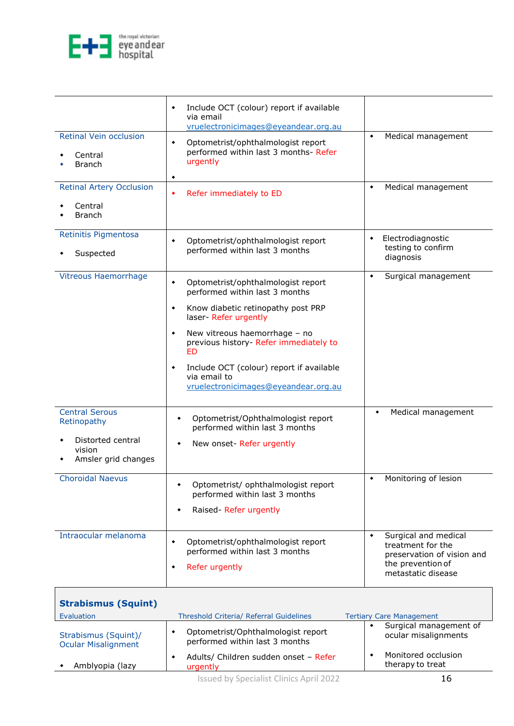

<span id="page-15-0"></span>

|                                                    | Include OCT (colour) report if available<br>٠<br>via email<br>vruelectronicimages@eyeandear.org.au    |                                                                              |
|----------------------------------------------------|-------------------------------------------------------------------------------------------------------|------------------------------------------------------------------------------|
| <b>Retinal Vein occlusion</b>                      |                                                                                                       | Medical management<br>۰                                                      |
| Central<br><b>Branch</b>                           | Optometrist/ophthalmologist report<br>٠<br>performed within last 3 months- Refer<br>urgently          |                                                                              |
|                                                    | ٠                                                                                                     |                                                                              |
| <b>Retinal Artery Occlusion</b>                    | Refer immediately to ED<br>٠                                                                          | Medical management                                                           |
| Central<br><b>Branch</b>                           |                                                                                                       |                                                                              |
| Retinitis Pigmentosa                               | Optometrist/ophthalmologist report<br>۰                                                               | Electrodiagnostic<br>٠                                                       |
| Suspected                                          | performed within last 3 months                                                                        | testing to confirm<br>diagnosis                                              |
| <b>Vitreous Haemorrhage</b>                        | Optometrist/ophthalmologist report<br>٠<br>performed within last 3 months                             | Surgical management<br>٠                                                     |
|                                                    | Know diabetic retinopathy post PRP<br>٠<br>laser- Refer urgently                                      |                                                                              |
|                                                    | New vitreous haemorrhage - no<br>٠<br>previous history- Refer immediately to<br>ED                    |                                                                              |
|                                                    | Include OCT (colour) report if available<br>٠<br>via email to<br>vruelectronicimages@eyeandear.org.au |                                                                              |
| <b>Central Serous</b>                              |                                                                                                       |                                                                              |
| Retinopathy                                        | Optometrist/Ophthalmologist report<br>٠<br>performed within last 3 months                             | Medical management<br>۰                                                      |
| Distorted central<br>vision<br>Amsler grid changes | New onset- Refer urgently<br>٠                                                                        |                                                                              |
|                                                    |                                                                                                       |                                                                              |
| <b>Choroidal Naevus</b>                            | Optometrist/ ophthalmologist report<br>٠<br>performed within last 3 months                            | Monitoring of lesion<br>$\blacklozenge$                                      |
|                                                    | Raised-Refer urgently<br>٠                                                                            |                                                                              |
| Intraocular melanoma                               | Optometrist/ophthalmologist report<br>٠<br>performed within last 3 months                             | Surgical and medical<br>۰<br>treatment for the<br>preservation of vision and |
|                                                    | Refer urgently<br>٠                                                                                   | the prevention of<br>metastatic disease                                      |
| <b>Strabismus (Squint)</b>                         |                                                                                                       |                                                                              |
| Evaluation                                         | Threshold Criteria/ Referral Guidelines                                                               | <b>Tertiary Care Management</b><br>Surgical management of<br>۰               |
| Strabismus (Squint)/<br><b>Ocular Misalignment</b> | Optometrist/Ophthalmologist report<br>٠<br>performed within last 3 months                             | ocular misalignments                                                         |
| Amblyopia (lazy                                    | Adults/ Children sudden onset - Refer<br>٠<br>urgently                                                | Monitored occlusion<br>therapy to treat                                      |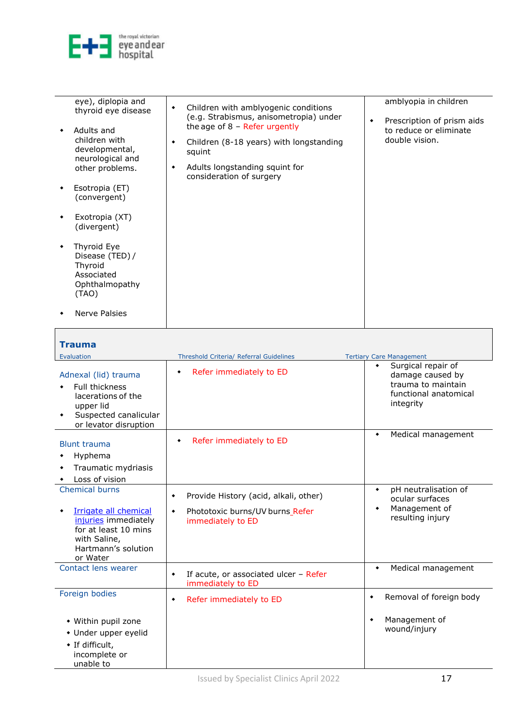

<span id="page-16-0"></span> $\overline{\phantom{a}}$ 

| eye), diplopia and<br>thyroid eye disease<br>Adults and<br>children with<br>developmental,<br>neurological and<br>other problems.<br>Esotropia (ET)<br>(convergent)<br>Exotropia (XT)<br>(divergent)<br>Thyroid Eye<br>Disease (TED) /<br>Thyroid<br>Associated<br>Ophthalmopathy<br>(TAO) | Children with amblyogenic conditions<br>$\blacklozenge$<br>(e.g. Strabismus, anisometropia) under<br>the age of $8$ – Refer urgently<br>Children (8-18 years) with longstanding<br>٠<br>squint<br>Adults longstanding squint for<br>٠<br>consideration of surgery | amblyopia in children<br>Prescription of prism aids<br>٠<br>to reduce or eliminate<br>double vision. |
|--------------------------------------------------------------------------------------------------------------------------------------------------------------------------------------------------------------------------------------------------------------------------------------------|-------------------------------------------------------------------------------------------------------------------------------------------------------------------------------------------------------------------------------------------------------------------|------------------------------------------------------------------------------------------------------|
| Nerve Palsies                                                                                                                                                                                                                                                                              |                                                                                                                                                                                                                                                                   |                                                                                                      |

| <b>Trauma</b>                                                                                                                      |                                                                         |                                                                                                                 |
|------------------------------------------------------------------------------------------------------------------------------------|-------------------------------------------------------------------------|-----------------------------------------------------------------------------------------------------------------|
| Evaluation                                                                                                                         | Threshold Criteria/ Referral Guidelines                                 | <b>Tertiary Care Management</b>                                                                                 |
| Adnexal (lid) trauma<br><b>Full thickness</b><br>lacerations of the<br>upper lid<br>Suspected canalicular<br>or levator disruption | Refer immediately to ED<br>٠                                            | Surgical repair of<br>$\bullet$<br>damage caused by<br>trauma to maintain<br>functional anatomical<br>integrity |
| <b>Blunt trauma</b><br>Hyphema<br>٠<br>Traumatic mydriasis<br>Loss of vision                                                       | Refer immediately to ED                                                 | Medical management<br>۰                                                                                         |
| <b>Chemical burns</b>                                                                                                              | Provide History (acid, alkali, other)<br>۰                              | pH neutralisation of<br>$\bullet$<br>ocular surfaces                                                            |
| Irrigate all chemical<br>injuries immediately<br>for at least 10 mins<br>with Saline,<br>Hartmann's solution<br>or Water           | Phototoxic burns/UV burns_Refer<br>$\blacklozenge$<br>immediately to ED | Management of<br>$\bullet$<br>resulting injury                                                                  |
| Contact lens wearer                                                                                                                | If acute, or associated ulcer - Refer<br>۰<br>immediately to ED         | Medical management<br>$\bullet$                                                                                 |
| Foreign bodies                                                                                                                     | Refer immediately to ED<br>۰                                            | Removal of foreign body<br>$\bullet$                                                                            |
| • Within pupil zone<br>• Under upper eyelid<br>• If difficult,<br>incomplete or<br>unable to                                       |                                                                         | Management of<br>٠<br>wound/injury                                                                              |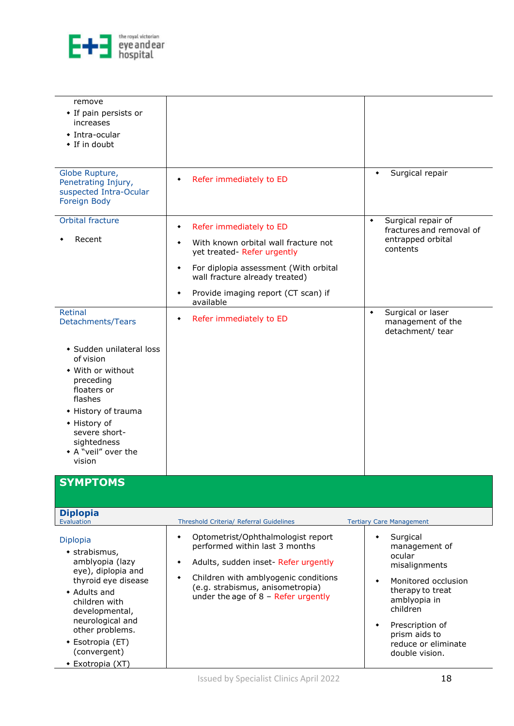

| remove<br>• If pain persists or<br>increases<br>• Intra-ocular<br>• If in doubt                                                                                                                                                             |                                                                                                                                                                                                                                                            |                                                                                                                                                                                                                                                     |
|---------------------------------------------------------------------------------------------------------------------------------------------------------------------------------------------------------------------------------------------|------------------------------------------------------------------------------------------------------------------------------------------------------------------------------------------------------------------------------------------------------------|-----------------------------------------------------------------------------------------------------------------------------------------------------------------------------------------------------------------------------------------------------|
| Globe Rupture,<br>Penetrating Injury,<br>suspected Intra-Ocular<br>Foreign Body                                                                                                                                                             | Refer immediately to ED                                                                                                                                                                                                                                    | Surgical repair                                                                                                                                                                                                                                     |
| Orbital fracture<br>Recent                                                                                                                                                                                                                  | Refer immediately to ED<br>٠<br>With known orbital wall fracture not<br>۰<br>yet treated- Refer urgently<br>For diplopia assessment (With orbital<br>$\blacklozenge$<br>wall fracture already treated)<br>Provide imaging report (CT scan) if<br>available | Surgical repair of<br>$\blacklozenge$<br>fractures and removal of<br>entrapped orbital<br>contents                                                                                                                                                  |
| Retinal<br>Detachments/Tears                                                                                                                                                                                                                | Refer immediately to ED<br>٠                                                                                                                                                                                                                               | Surgical or laser<br>$\bullet$<br>management of the<br>detachment/ tear                                                                                                                                                                             |
| • Sudden unilateral loss<br>of vision<br>• With or without<br>preceding<br>floaters or<br>flashes<br>• History of trauma<br>• History of<br>severe short-<br>sightedness<br>• A "veil" over the<br>vision                                   |                                                                                                                                                                                                                                                            |                                                                                                                                                                                                                                                     |
| <b>SYMPTOMS</b>                                                                                                                                                                                                                             |                                                                                                                                                                                                                                                            |                                                                                                                                                                                                                                                     |
| <b>Diplopia</b><br>Evaluation                                                                                                                                                                                                               | Threshold Criteria/ Referral Guidelines                                                                                                                                                                                                                    | <b>Tertiary Care Management</b>                                                                                                                                                                                                                     |
| Diplopia<br>• strabismus,<br>amblyopia (lazy<br>eye), diplopia and<br>thyroid eye disease<br>• Adults and<br>children with<br>developmental,<br>neurological and<br>other problems.<br>• Esotropia (ET)<br>(convergent)<br>• Exotropia (XT) | Optometrist/Ophthalmologist report<br>٠<br>performed within last 3 months<br>Adults, sudden inset- Refer urgently<br>۰<br>Children with amblyogenic conditions<br>٠<br>(e.g. strabismus, anisometropia)<br>under the age of $8$ – Refer urgently           | Surgical<br>$\blacklozenge$<br>management of<br>ocular<br>misalignments<br>Monitored occlusion<br>$\blacklozenge$<br>therapy to treat<br>amblyopia in<br>children<br>Prescription of<br>٠<br>prism aids to<br>reduce or eliminate<br>double vision. |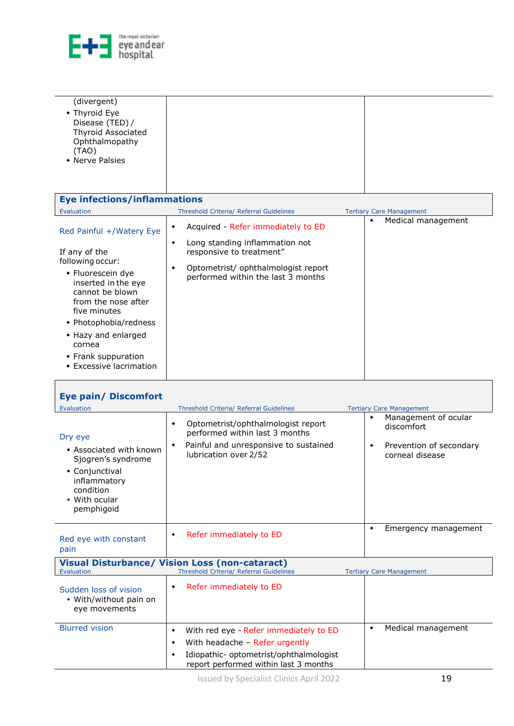

 $\overline{\phantom{a}}$ 

| (divergent)                                                                                          |  |
|------------------------------------------------------------------------------------------------------|--|
| • Thyroid Eye<br>Disease (TED) /<br>Thyroid Associated<br>Ophthalmopathy<br>(TAO)<br>• Nerve Palsies |  |
|                                                                                                      |  |

| <b>Eye infections/inflammations</b>                                                                                                                                                                                                                                             |                                                                                                                                                                                         |                                 |
|---------------------------------------------------------------------------------------------------------------------------------------------------------------------------------------------------------------------------------------------------------------------------------|-----------------------------------------------------------------------------------------------------------------------------------------------------------------------------------------|---------------------------------|
| Evaluation                                                                                                                                                                                                                                                                      | <b>Threshold Criteria/ Referral Guidelines</b>                                                                                                                                          | <b>Tertiary Care Management</b> |
| Red Painful +/Watery Eye<br>If any of the<br>following occur:<br>• Fluorescein dye<br>inserted in the eye<br>cannot be blown<br>from the nose after<br>five minutes<br>• Photophobia/redness<br>• Hazy and enlarged<br>cornea<br>• Frank suppuration<br>• Excessive lacrimation | Acquired - Refer immediately to ED<br>Long standing inflammation not<br>٠<br>responsive to treatment"<br>Optometrist/ ophthalmologist report<br>٠<br>performed within the last 3 months | Medical management<br>٠         |
|                                                                                                                                                                                                                                                                                 |                                                                                                                                                                                         |                                 |

<span id="page-18-2"></span><span id="page-18-1"></span><span id="page-18-0"></span>

| <b>Eye pain/ Discomfort</b>                                                                                                                       |                                                                                                                                                                             |                                                                                            |
|---------------------------------------------------------------------------------------------------------------------------------------------------|-----------------------------------------------------------------------------------------------------------------------------------------------------------------------------|--------------------------------------------------------------------------------------------|
| Evaluation                                                                                                                                        | Threshold Criteria/ Referral Guidelines                                                                                                                                     | <b>Tertiary Care Management</b>                                                            |
| Dry eye<br>• Associated with known<br>Sjogren's syndrome<br>• Conjunctival<br>inflammatory<br>condition<br>• With ocular<br>pemphigoid            | Optometrist/ophthalmologist report<br>٠<br>performed within last 3 months<br>Painful and unresponsive to sustained<br>٠<br>lubrication over 2/52                            | Management of ocular<br>۰<br>discomfort<br>Prevention of secondary<br>۰<br>corneal disease |
| Red eye with constant<br>pain                                                                                                                     | Refer immediately to ED<br>٠                                                                                                                                                | Emergency management<br>۰                                                                  |
| <b>Visual Disturbance/ Vision Loss (non-cataract)</b><br>Evaluation<br>Threshold Criteria/ Referral Guidelines<br><b>Tertiary Care Management</b> |                                                                                                                                                                             |                                                                                            |
| Sudden loss of vision<br>• With/without pain on<br>eye movements                                                                                  | Refer immediately to ED<br>٠                                                                                                                                                |                                                                                            |
| <b>Blurred vision</b>                                                                                                                             | With red eye - Refer immediately to ED<br>٠<br>With headache - Refer urgently<br>٠<br>Idiopathic- optometrist/ophthalmologist<br>٠<br>report performed within last 3 months | Medical management<br>۰                                                                    |
|                                                                                                                                                   |                                                                                                                                                                             |                                                                                            |